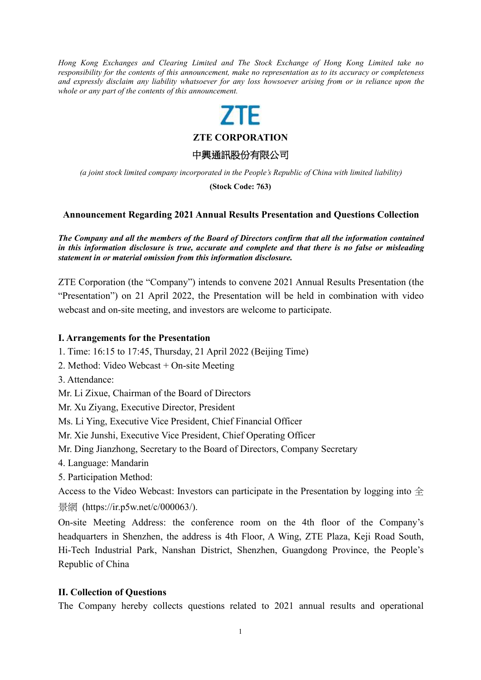*Hong Kong Exchanges and Clearing Limited and The Stock Exchange of Hong Kong Limited take no responsibility for the contents of this announcement, make no representation as to its accuracy or completeness* and expressly disclaim any liability whatsoever for any loss howsoever arising from or in reliance upon the *whole or any part of the contents of this announcement.*

# 7TF

**ZTE CORPORATION**

中興通訊股份有限公司

*(a joint stock limited company incorporated in the People's Republic of China with limited liability)*

**(Stock Code: 763)**

### **Announcement Regarding 2021 Annual Results Presentation and Questions Collection**

*The Company and allthe members of the Board of Directors confirm that all the information contained in this information disclosure istrue, accurate and complete and that there is no false or misleading statement in or material omission from this information disclosure.*

ZTE Corporation (the "Company") intends to convene 2021 Annual Results Presentation (the "Presentation") on 21 April 2022, the Presentation will be held in combination with video webcast and on-site meeting, and investors are welcome to participate.

#### **I. Arrangements for the Presentation**

- 1. Time: 16:15 to 17:45, Thursday, 21 April 2022 (Beijing Time)
- 2. Method: Video Webcast + On-site Meeting
- 3. Attendance:
- Mr. Li Zixue, Chairman of the Board of Directors

Mr. Xu Ziyang, Executive Director, President

- Ms. Li Ying, Executive Vice President, Chief Financial Officer
- Mr. Xie Junshi, Executive Vice President, Chief Operating Officer
- Mr. Ding Jianzhong, Secretary to the Board of Directors, Company Secretary
- 4. Language: Mandarin
- 5. Participation Method:

Access to the Video Webcast: Investors can participate in the Presentation by logging into  $\triangle$ 景網 (https://ir.p5w.net/c/000063/).

On-site Meeting Address: the conference room on the 4th floor of the Company's headquarters in Shenzhen, the address is 4th Floor, A Wing, ZTE Plaza, Keji Road South, Hi-Tech Industrial Park, Nanshan District, Shenzhen, Guangdong Province, the People's Republic of China

#### **II. Collection of Questions**

The Company hereby collects questions related to 2021 annual results and operational